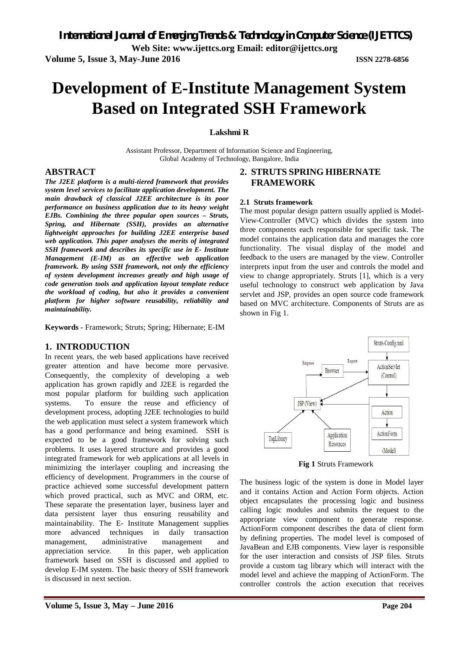**Web Site: www.ijettcs.org Email: editor@ijettcs.org** 

**Volume 5, Issue 3, May-June 2016 ISSN 2278-6856**

# **Development of E-Institute Management System Based on Integrated SSH Framework**

**Lakshmi R**

Assistant Professor, Department of Information Science and Engineering, Global Academy of Technology, Bangalore, India

### **ABSTRACT**

*The J2EE platform is a multi-tiered framework that provides system level services to facilitate application development. The main drawback of classical J2EE architecture is its poor performance on business application due to its heavy weight EJBs. Combining the three popular open sources – Struts, Spring, and Hibernate (SSH), provides an alternative lightweight approaches for building J2EE enterprise based web application. This paper analyses the merits of integrated SSH framework and describes its specific use in E- Institute Management (E-IM) as an effective web application framework. By using SSH framework, not only the efficiency of system development increases greatly and high usage of code generation tools and application layout template reduce the workload of coding, but also it provides a convenient platform for higher software reusability, reliability and maintainability.*

**Keywords -** Framework; Struts; Spring; Hibernate; E-IM

# **1. INTRODUCTION**

In recent years, the web based applications have received greater attention and have become more pervasive. Consequently, the complexity of developing a web application has grown rapidly and J2EE is regarded the most popular platform for building such application systems. To ensure the reuse and efficiency of development process, adopting J2EE technologies to build the web application must select a system framework which has a good performance and being examined. SSH is expected to be a good framework for solving such problems. It uses layered structure and provides a good integrated framework for web applications at all levels in minimizing the interlayer coupling and increasing the efficiency of development. Programmers in the course of practice achieved some successful development pattern which proved practical, such as MVC and ORM, etc. These separate the presentation layer, business layer and data persistent layer thus ensuring reusability and maintainability. The E- Institute Management supplies more advanced techniques in daily transaction management, administrative management and appreciation service. In this paper, web application framework based on SSH is discussed and applied to develop E-IM system. The basic theory of SSH framework is discussed in next section.

# **FRAMEWORK**

**2. STRUTS SPRING HIBERNATE**

### **2.1 Struts framework**

The most popular design pattern usually applied is Model-View-Controller (MVC) which divides the system into three components each responsible for specific task. The model contains the application data and manages the core functionality. The visual display of the model and feedback to the users are managed by the view. Controller interprets input from the user and controls the model and view to change appropriately. Struts [1], which is a very useful technology to construct web application by Java servlet and JSP, provides an open source code framework based on MVC architecture. Components of Struts are as shown in Fig 1.



**Fig 1** Struts Framework

The business logic of the system is done in Model layer and it contains Action and Action Form objects. Action object encapsulates the processing logic and business calling logic modules and submits the request to the appropriate view component to generate response. ActionForm component describes the data of client form by defining properties. The model level is composed of JavaBean and EJB components. View layer is responsible for the user interaction and consists of JSP files. Struts provide a custom tag library which will interact with the model level and achieve the mapping of ActionForm. The controller controls the action execution that receives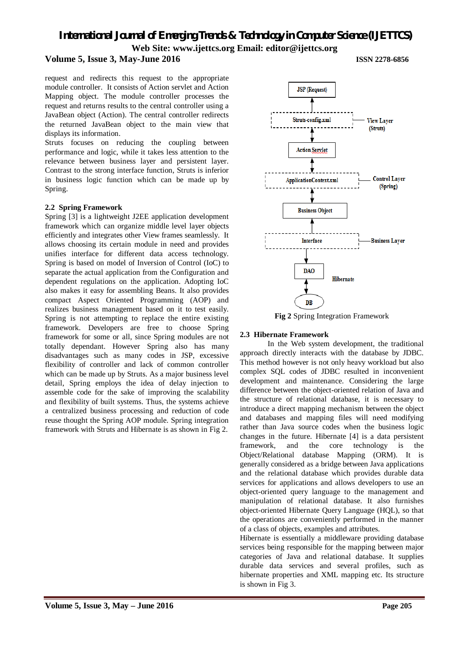# **Volume 5, Issue 3, May-June 2016 ISSN 2278-6856**

request and redirects this request to the appropriate module controller. It consists of Action servlet and Action Mapping object. The module controller processes the request and returns results to the central controller using a JavaBean object (Action). The central controller redirects the returned JavaBean object to the main view that displays its information.

Struts focuses on reducing the coupling between performance and logic, while it takes less attention to the relevance between business layer and persistent layer. Contrast to the strong interface function, Struts is inferior in business logic function which can be made up by Spring.

#### **2.2 Spring Framework**

Spring [3] is a lightweight J2EE application development framework which can organize middle level layer objects efficiently and integrates other View frames seamlessly. It allows choosing its certain module in need and provides unifies interface for different data access technology. Spring is based on model of Inversion of Control (IoC) to separate the actual application from the Configuration and dependent regulations on the application. Adopting IoC also makes it easy for assembling Beans. It also provides compact Aspect Oriented Programming (AOP) and realizes business management based on it to test easily. Spring is not attempting to replace the entire existing framework. Developers are free to choose Spring framework for some or all, since Spring modules are not totally dependant. However Spring also has many disadvantages such as many codes in JSP, excessive flexibility of controller and lack of common controller which can be made up by Struts. As a major business level detail, Spring employs the idea of delay injection to assemble code for the sake of improving the scalability and flexibility of built systems. Thus, the systems achieve a centralized business processing and reduction of code reuse thought the Spring AOP module. Spring integration framework with Struts and Hibernate is as shown in Fig 2.



**Fig 2** Spring Integration Framework

#### **2.3 Hibernate Framework**

In the Web system development, the traditional approach directly interacts with the database by JDBC. This method however is not only heavy workload but also complex SQL codes of JDBC resulted in inconvenient development and maintenance. Considering the large difference between the object-oriented relation of Java and the structure of relational database, it is necessary to introduce a direct mapping mechanism between the object and databases and mapping files will need modifying rather than Java source codes when the business logic changes in the future. Hibernate [4] is a data persistent framework, and the core technology is the Object/Relational database Mapping (ORM). It is generally considered as a bridge between Java applications and the relational database which provides durable data services for applications and allows developers to use an object-oriented query language to the management and manipulation of relational database. It also furnishes object-oriented Hibernate Query Language (HQL), so that the operations are conveniently performed in the manner of a class of objects, examples and attributes.

Hibernate is essentially a middleware providing database services being responsible for the mapping between major categories of Java and relational database. It supplies durable data services and several profiles, such as hibernate properties and XML mapping etc. Its structure is shown in Fig 3.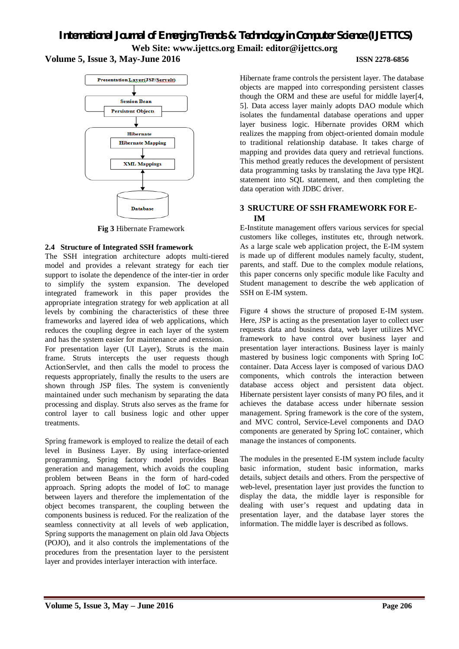



**Fig 3** Hibernate Framework

# **2.4 Structure of Integrated SSH framework**

The SSH integration architecture adopts multi-tiered model and provides a relevant strategy for each tier support to isolate the dependence of the inter-tier in order to simplify the system expansion. The developed integrated framework in this paper provides the appropriate integration strategy for web application at all levels by combining the characteristics of these three frameworks and layered idea of web applications, which reduces the coupling degree in each layer of the system and has the system easier for maintenance and extension. For presentation layer (UI Layer), Struts is the main frame. Struts intercepts the user requests though ActionServlet, and then calls the model to process the requests appropriately, finally the results to the users are shown through JSP files. The system is conveniently maintained under such mechanism by separating the data processing and display. Struts also serves as the frame for control layer to call business logic and other upper treatments.

Spring framework is employed to realize the detail of each level in Business Layer. By using interface-oriented programming, Spring factory model provides Bean generation and management, which avoids the coupling problem between Beans in the form of hard-coded approach. Spring adopts the model of IoC to manage between layers and therefore the implementation of the object becomes transparent, the coupling between the components business is reduced. For the realization of the seamless connectivity at all levels of web application, Spring supports the management on plain old Java Objects (POJO), and it also controls the implementations of the procedures from the presentation layer to the persistent layer and provides interlayer interaction with interface.

Hibernate frame controls the persistent layer. The database objects are mapped into corresponding persistent classes though the ORM and these are useful for middle layer[4, 5]. Data access layer mainly adopts DAO module which isolates the fundamental database operations and upper layer business logic. Hibernate provides ORM which realizes the mapping from object-oriented domain module to traditional relationship database. It takes charge of mapping and provides data query and retrieval functions. This method greatly reduces the development of persistent data programming tasks by translating the Java type HQL statement into SQL statement, and then completing the data operation with JDBC driver.

# **3 SRUCTURE OF SSH FRAMEWORK FOR E-IM**

E-Institute management offers various services for special customers like colleges, institutes etc, through network. As a large scale web application project, the E-IM system is made up of different modules namely faculty, student, parents, and staff. Due to the complex module relations, this paper concerns only specific module like Faculty and Student management to describe the web application of SSH on E-IM system.

Figure 4 shows the structure of proposed E-IM system. Here, JSP is acting as the presentation layer to collect user requests data and business data, web layer utilizes MVC framework to have control over business layer and presentation layer interactions. Business layer is mainly mastered by business logic components with Spring IoC container. Data Access layer is composed of various DAO components, which controls the interaction between database access object and persistent data object. Hibernate persistent layer consists of many PO files, and it achieves the database access under hibernate session management. Spring framework is the core of the system, and MVC control, Service-Level components and DAO components are generated by Spring IoC container, which manage the instances of components.

The modules in the presented E-IM system include faculty basic information, student basic information, marks details, subject details and others. From the perspective of web-level, presentation layer just provides the function to display the data, the middle layer is responsible for dealing with user's request and updating data in presentation layer, and the database layer stores the information. The middle layer is described as follows.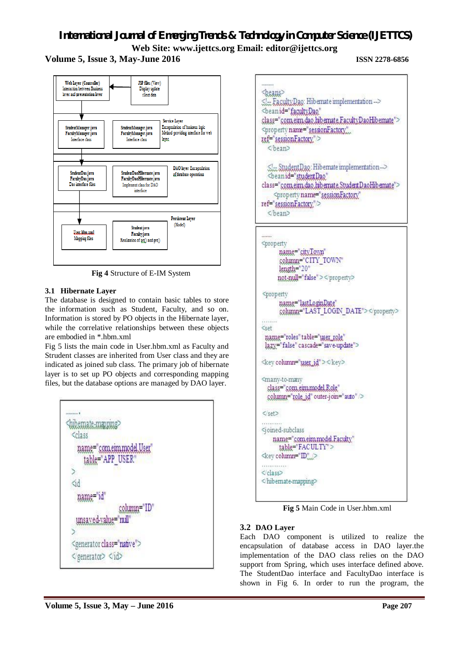# **Volume 5, Issue 3, May-June 2016 ISSN 2278-6856**



**Fig 4** Structure of E-IM System

# **3.1 Hibernate Layer**

The database is designed to contain basic tables to store the information such as Student, Faculty, and so on. Information is stored by PO objects in the Hibernate layer, while the correlative relationships between these objects are embodied in \*.hbm.xml

Fig 5 lists the main code in User.hbm.xml as Faculty and Strudent classes are inherited from User class and they are indicated as joined sub class. The primary job of hibernate layer is to set up PO objects and corresponding mapping files, but the database options are managed by DAO layer.



**Sheams** <l-FacultyDao: Hibernate implementation --> <beanid="facultyDao" class="com.eim.dao.hib.emate.FacultyDaoHib.emate"> <property name="sessionFactory" ref="sessionFactory"/> <bean> Sl., StudentDao: Hibernate implementation -> <beanid="studentDao" class="com.eim.dao.hibernate.StudentDaoHibernate"> <property name="sessionFactory" ref="sessionFactory."> <bean> ....... <property name="cityTown" column="CITY\_TOWN" length="20" not-null="false"></property> <property name="lastLoginDate" column="LAST LOGIN DATE"></property> **Constitution**  $<$ set name="roles" table="user\_role" lazy="false" cascade="save-update"> <key column="user\_id"></key> <many-to-many class="com eimmodel Role" solumn="role\_id" outer-join="auto" /> </set> <joined-subclass name="com.eim.model.Faculty" table="FACULTY"> <key column="ID"  $\tilde{y}$  is the set of the local set of  $\tilde{y}$  $<$  $<$  $<$  $<$  $<$  $<$ <hibemate-mapping> **Fig 5** Main Code in User.hbm.xml

# **3.2 DAO Layer**

Each DAO component is utilized to realize the encapsulation of database access in DAO layer.the implementation of the DAO class relies on the DAO support from Spring, which uses interface defined above. The StudentDao interface and FacultyDao interface is shown in Fig 6. In order to run the program, the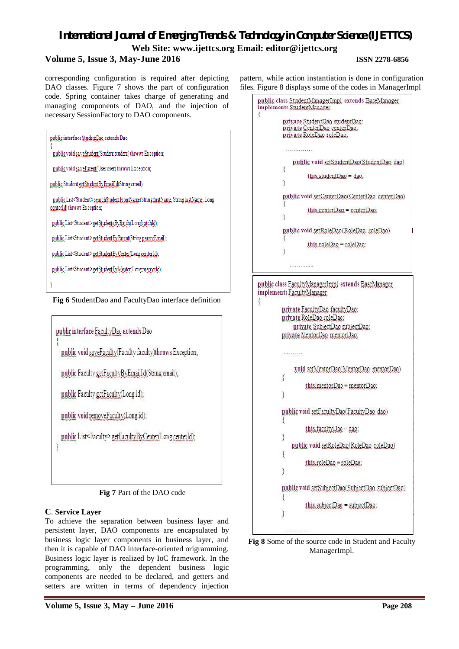# **Volume 5, Issue 3, May-June 2016 ISSN 2278-6856**

corresponding configuration is required after depicting DAO classes. Figure 7 shows the part of configuration code. Spring container takes charge of generating and managing components of DAO, and the injection of necessary SessionFactory to DAO components.

| public interface Student Dao extends Dao                                                                                      |  |
|-------------------------------------------------------------------------------------------------------------------------------|--|
| public void say eStudent (Student student) throws Exception;                                                                  |  |
| public void say eParent (User user) throws Exception;                                                                         |  |
| public Student getStudentBy EmailId(String email);                                                                            |  |
| public List <student> searchStudentFromName(String firstName, String lastName, Long<br/>center[d] throws Exception;</student> |  |
| public List <student> getStudentsByBatch(Long batchId);</student>                                                             |  |
| public List <student> getStudentByParent(String parentEmail);</student>                                                       |  |
| public List <student> getStudentByCenter(Long center[d);</student>                                                            |  |
| public List <student>getStudentByMentor(LongmentorId);</student>                                                              |  |
|                                                                                                                               |  |

**Fig 6** StudentDao and FacultyDao interface definition



**Fig 7** Part of the DAO code

# **C**. **Service Layer**

To achieve the separation between business layer and persistent layer, DAO components are encapsulated by business logic layer components in business layer, and then it is capable of DAO interface-oriented origramming. Business logic layer is realized by IoC framework. In the programming, only the dependent business logic components are needed to be declared, and getters and setters are written in terms of dependency injection

pattern, while action instantiation is done in configuration files. Figure 8 displays some of the codes in ManagerImpl

```
public class StudentManagerImpl extends BaseManager
implements StudentManager
\overline{\mathbf{f}}private StudentDao studentDao:
          private CenterDao centerDao:
          private RoleDao roleDao:
              public void setStudentDao(StudentDao dao)
          Į
                    this.studentDao = dao:
          3
          public void setCenterDao(CenterDao centerDao)
          Æ
                    this.centerDao = centerDao:
          3
          public void setRoleDao(RoleDao roleDao)
                    this roleDao = roleDao:
             .............
public class FacultyManagerImpl extends BaseManager
implements FacultyManager
\{private FacultyDao facultyDao:
         private RoleDao roleDao:
              private SubjectDao subjectDao:
         private MentorDao mentorDao:
         CONTRACTOR
              void setMentorDao(MentorDao mentorDao)
         \{this mentor Dao = mentor Dao:
         \mathcal{E}public void setFacultyDao(FacultyDao dao)
                   this facultyDao = dao:
             public void setRoleDao(RoleDao roleDao)
                   this roleDao = roleDao:
         3
         public void setSubjectDao(SubjectDao, subjectDao)
                   this subjectDao = subjectDao:
         3
```